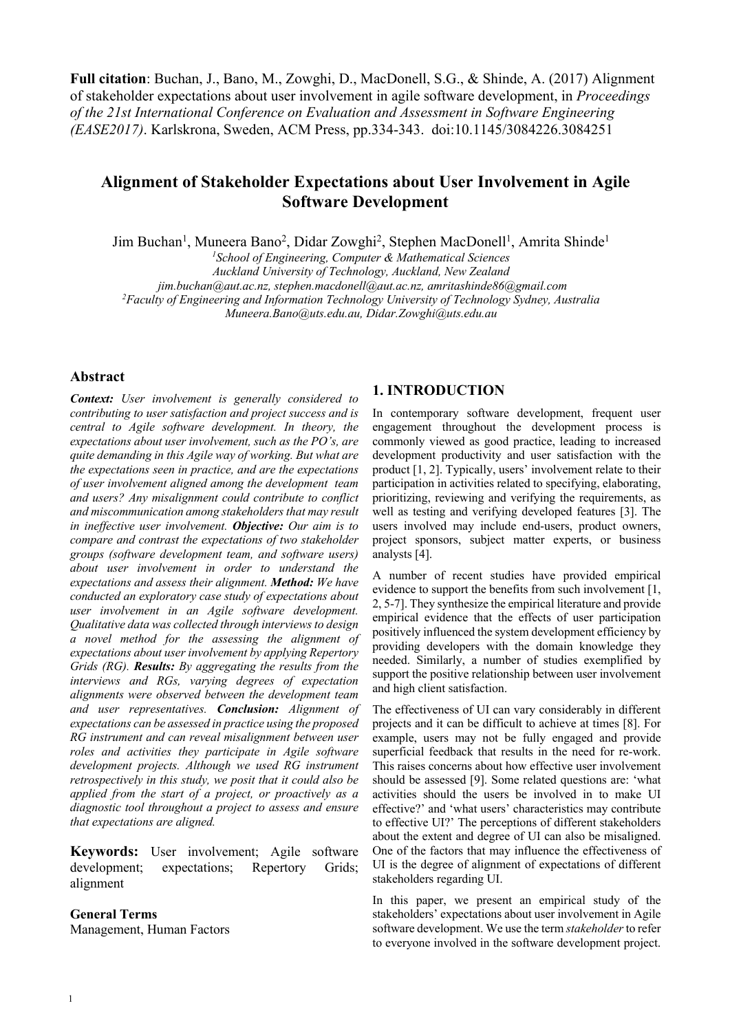**Full citation**: Buchan, J., Bano, M., Zowghi, D., MacDonell, S.G., & Shinde, A. (2017) Alignment of stakeholder expectations about user involvement in agile software development, in *Proceedings of the 21st International Conference on Evaluation and Assessment in Software Engineering (EASE2017)*. Karlskrona, Sweden, ACM Press, pp.334-343. doi:10.1145/3084226.3084251

# **Alignment of Stakeholder Expectations about User Involvement in Agile Software Development**

Jim Buchan<sup>1</sup>, Muneera Bano<sup>2</sup>, Didar Zowghi<sup>2</sup>, Stephen MacDonell<sup>1</sup>, Amrita Shinde<sup>1</sup>

*1 School of Engineering, Computer & Mathematical Sciences* 

*Auckland University of Technology, Auckland, New Zealand*

*jim.buchan@aut.ac.nz, stephen.macdonell@aut.ac.nz, amritashinde86@gmail.com 2*

*Faculty of Engineering and Information Technology University of Technology Sydney, Australia* 

*Muneera.Bano@uts.edu.au, Didar.Zowghi@uts.edu.au*

# **Abstract**

*Context: User involvement is generally considered to contributing to user satisfaction and project success and is central to Agile software development. In theory, the expectations about user involvement, such as the PO's, are quite demanding in this Agile way of working. But what are the expectations seen in practice, and are the expectations of user involvement aligned among the development team and users? Any misalignment could contribute to conflict and miscommunication among stakeholders that may result in ineffective user involvement. Objective: Our aim is to compare and contrast the expectations of two stakeholder groups (software development team, and software users) about user involvement in order to understand the expectations and assess their alignment. Method: We have conducted an exploratory case study of expectations about user involvement in an Agile software development. Qualitative data was collected through interviews to design a novel method for the assessing the alignment of expectations about user involvement by applying Repertory Grids (RG). Results: By aggregating the results from the interviews and RGs, varying degrees of expectation alignments were observed between the development team and user representatives. Conclusion: Alignment of expectations can be assessed in practice using the proposed RG instrument and can reveal misalignment between user roles and activities they participate in Agile software development projects. Although we used RG instrument retrospectively in this study, we posit that it could also be applied from the start of a project, or proactively as a diagnostic tool throughout a project to assess and ensure that expectations are aligned.*

**Keywords:** User involvement; Agile software development; expectations; Repertory Grids; alignment

# **General Terms**

Management, Human Factors

# **1. INTRODUCTION**

In contemporary software development, frequent user engagement throughout the development process is commonly viewed as good practice, leading to increased development productivity and user satisfaction with the product [1, 2]. Typically, users' involvement relate to their participation in activities related to specifying, elaborating, prioritizing, reviewing and verifying the requirements, as well as testing and verifying developed features [3]. The users involved may include end-users, product owners, project sponsors, subject matter experts, or business analysts [4].

A number of recent studies have provided empirical evidence to support the benefits from such involvement [1, 2, 5-7]. They synthesize the empirical literature and provide empirical evidence that the effects of user participation positively influenced the system development efficiency by providing developers with the domain knowledge they needed. Similarly, a number of studies exemplified by support the positive relationship between user involvement and high client satisfaction.

The effectiveness of UI can vary considerably in different projects and it can be difficult to achieve at times [8]. For example, users may not be fully engaged and provide superficial feedback that results in the need for re-work. This raises concerns about how effective user involvement should be assessed [9]. Some related questions are: 'what activities should the users be involved in to make UI effective?' and 'what users' characteristics may contribute to effective UI?' The perceptions of different stakeholders about the extent and degree of UI can also be misaligned. One of the factors that may influence the effectiveness of UI is the degree of alignment of expectations of different stakeholders regarding UI.

In this paper, we present an empirical study of the stakeholders' expectations about user involvement in Agile software development. We use the term *stakeholder* to refer to everyone involved in the software development project.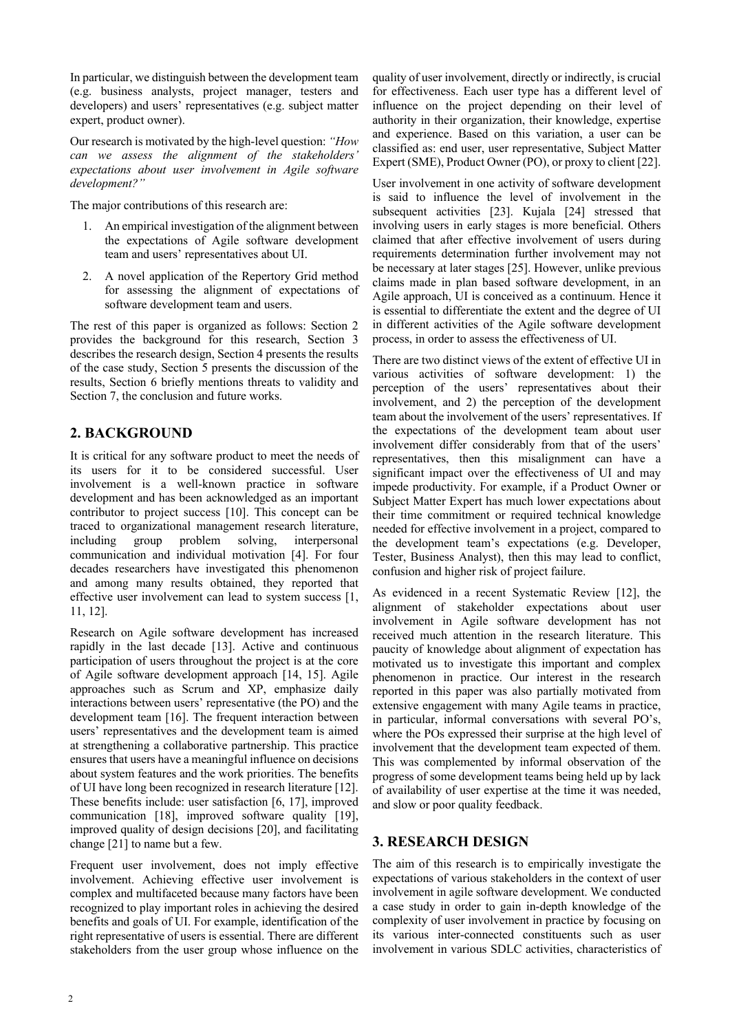In particular, we distinguish between the development team (e.g. business analysts, project manager, testers and developers) and users' representatives (e.g. subject matter expert, product owner).

Our research is motivated by the high-level question: *"How can we assess the alignment of the stakeholders' expectations about user involvement in Agile software development?"* 

The major contributions of this research are:

- 1. An empirical investigation of the alignment between the expectations of Agile software development team and users' representatives about UI.
- 2. A novel application of the Repertory Grid method for assessing the alignment of expectations of software development team and users.

The rest of this paper is organized as follows: Section 2 provides the background for this research, Section 3 describes the research design, Section 4 presents the results of the case study, Section 5 presents the discussion of the results, Section 6 briefly mentions threats to validity and Section 7, the conclusion and future works.

# **2. BACKGROUND**

It is critical for any software product to meet the needs of its users for it to be considered successful. User involvement is a well-known practice in software development and has been acknowledged as an important contributor to project success [10]. This concept can be traced to organizational management research literature, including group problem solving, interpersonal communication and individual motivation [4]. For four decades researchers have investigated this phenomenon and among many results obtained, they reported that effective user involvement can lead to system success [1, 11, 12].

Research on Agile software development has increased rapidly in the last decade [13]. Active and continuous participation of users throughout the project is at the core of Agile software development approach [14, 15]. Agile approaches such as Scrum and XP, emphasize daily interactions between users' representative (the PO) and the development team [16]. The frequent interaction between users' representatives and the development team is aimed at strengthening a collaborative partnership. This practice ensures that users have a meaningful influence on decisions about system features and the work priorities. The benefits of UI have long been recognized in research literature [12]. These benefits include: user satisfaction [6, 17], improved communication [18], improved software quality [19], improved quality of design decisions [20], and facilitating change [21] to name but a few.

Frequent user involvement, does not imply effective involvement. Achieving effective user involvement is complex and multifaceted because many factors have been recognized to play important roles in achieving the desired benefits and goals of UI. For example, identification of the right representative of users is essential. There are different stakeholders from the user group whose influence on the quality of user involvement, directly or indirectly, is crucial for effectiveness. Each user type has a different level of influence on the project depending on their level of authority in their organization, their knowledge, expertise and experience. Based on this variation, a user can be classified as: end user, user representative, Subject Matter Expert (SME), Product Owner (PO), or proxy to client [22].

User involvement in one activity of software development is said to influence the level of involvement in the subsequent activities [23]. Kujala [24] stressed that involving users in early stages is more beneficial. Others claimed that after effective involvement of users during requirements determination further involvement may not be necessary at later stages [25]. However, unlike previous claims made in plan based software development, in an Agile approach, UI is conceived as a continuum. Hence it is essential to differentiate the extent and the degree of UI in different activities of the Agile software development process, in order to assess the effectiveness of UI.

There are two distinct views of the extent of effective UI in various activities of software development: 1) the perception of the users' representatives about their involvement, and 2) the perception of the development team about the involvement of the users' representatives. If the expectations of the development team about user involvement differ considerably from that of the users' representatives, then this misalignment can have a significant impact over the effectiveness of UI and may impede productivity. For example, if a Product Owner or Subject Matter Expert has much lower expectations about their time commitment or required technical knowledge needed for effective involvement in a project, compared to the development team's expectations (e.g. Developer, Tester, Business Analyst), then this may lead to conflict, confusion and higher risk of project failure.

As evidenced in a recent Systematic Review [12], the alignment of stakeholder expectations about user involvement in Agile software development has not received much attention in the research literature. This paucity of knowledge about alignment of expectation has motivated us to investigate this important and complex phenomenon in practice. Our interest in the research reported in this paper was also partially motivated from extensive engagement with many Agile teams in practice, in particular, informal conversations with several PO's, where the POs expressed their surprise at the high level of involvement that the development team expected of them. This was complemented by informal observation of the progress of some development teams being held up by lack of availability of user expertise at the time it was needed, and slow or poor quality feedback.

# **3. RESEARCH DESIGN**

The aim of this research is to empirically investigate the expectations of various stakeholders in the context of user involvement in agile software development. We conducted a case study in order to gain in-depth knowledge of the complexity of user involvement in practice by focusing on its various inter-connected constituents such as user involvement in various SDLC activities, characteristics of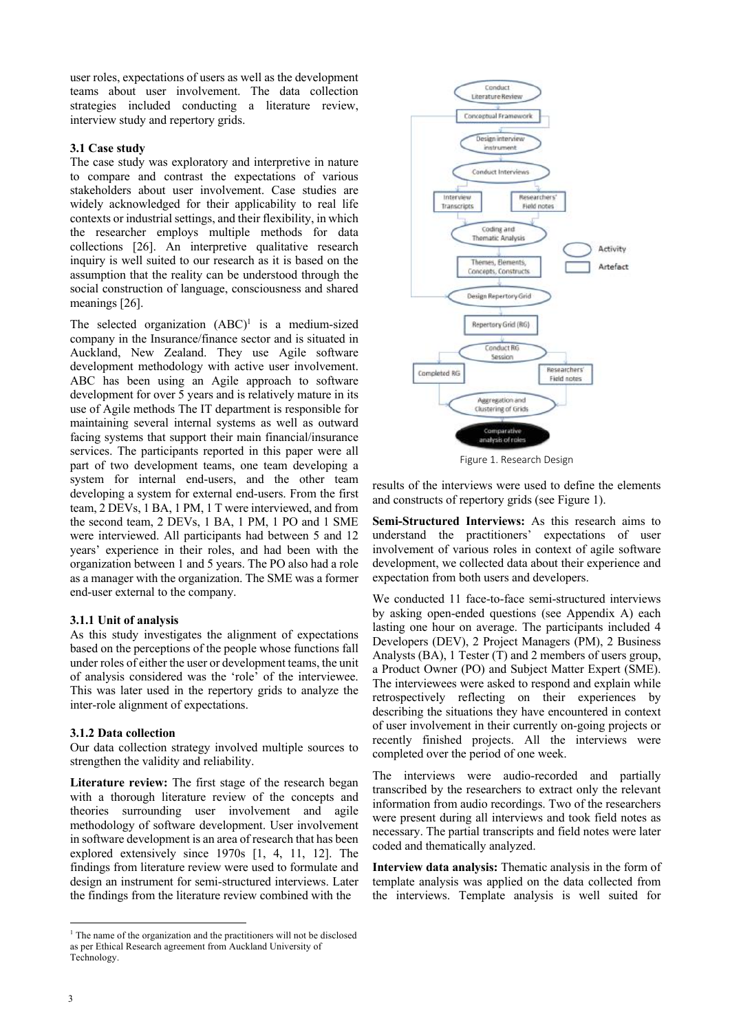user roles, expectations of users as well as the development teams about user involvement. The data collection strategies included conducting a literature review, interview study and repertory grids.

### **3.1 Case study**

The case study was exploratory and interpretive in nature to compare and contrast the expectations of various stakeholders about user involvement. Case studies are widely acknowledged for their applicability to real life contexts or industrial settings, and their flexibility, in which the researcher employs multiple methods for data collections [26]. An interpretive qualitative research inquiry is well suited to our research as it is based on the assumption that the reality can be understood through the social construction of language, consciousness and shared meanings [26].

The selected organization  $(ABC)^1$  is a medium-sized company in the Insurance/finance sector and is situated in Auckland, New Zealand. They use Agile software development methodology with active user involvement. ABC has been using an Agile approach to software development for over 5 years and is relatively mature in its use of Agile methods The IT department is responsible for maintaining several internal systems as well as outward facing systems that support their main financial/insurance services. The participants reported in this paper were all part of two development teams, one team developing a system for internal end-users, and the other team developing a system for external end-users. From the first team, 2 DEVs, 1 BA, 1 PM, 1 T were interviewed, and from the second team, 2 DEVs, 1 BA, 1 PM, 1 PO and 1 SME were interviewed. All participants had between 5 and 12 years' experience in their roles, and had been with the organization between 1 and 5 years. The PO also had a role as a manager with the organization. The SME was a former end-user external to the company.

#### **3.1.1 Unit of analysis**

As this study investigates the alignment of expectations based on the perceptions of the people whose functions fall under roles of either the user or development teams, the unit of analysis considered was the 'role' of the interviewee. This was later used in the repertory grids to analyze the inter-role alignment of expectations.

#### **3.1.2 Data collection**

Our data collection strategy involved multiple sources to strengthen the validity and reliability.

**Literature review:** The first stage of the research began with a thorough literature review of the concepts and theories surrounding user involvement and agile methodology of software development. User involvement in software development is an area of research that has been explored extensively since 1970s [1, 4, 11, 12]. The findings from literature review were used to formulate and design an instrument for semi-structured interviews. Later the findings from the literature review combined with the



Figure 1. Research Design

results of the interviews were used to define the elements and constructs of repertory grids (see Figure 1).

**Semi-Structured Interviews:** As this research aims to understand the practitioners' expectations of user involvement of various roles in context of agile software development, we collected data about their experience and expectation from both users and developers.

We conducted 11 face-to-face semi-structured interviews by asking open-ended questions (see Appendix A) each lasting one hour on average. The participants included 4 Developers (DEV), 2 Project Managers (PM), 2 Business Analysts (BA), 1 Tester (T) and 2 members of users group, a Product Owner (PO) and Subject Matter Expert (SME). The interviewees were asked to respond and explain while retrospectively reflecting on their experiences by describing the situations they have encountered in context of user involvement in their currently on-going projects or recently finished projects. All the interviews were completed over the period of one week.

The interviews were audio-recorded and partially transcribed by the researchers to extract only the relevant information from audio recordings. Two of the researchers were present during all interviews and took field notes as necessary. The partial transcripts and field notes were later coded and thematically analyzed.

**Interview data analysis:** Thematic analysis in the form of template analysis was applied on the data collected from the interviews. Template analysis is well suited for

<sup>&</sup>lt;sup>1</sup> The name of the organization and the practitioners will not be disclosed as per Ethical Research agreement from Auckland University of Technology.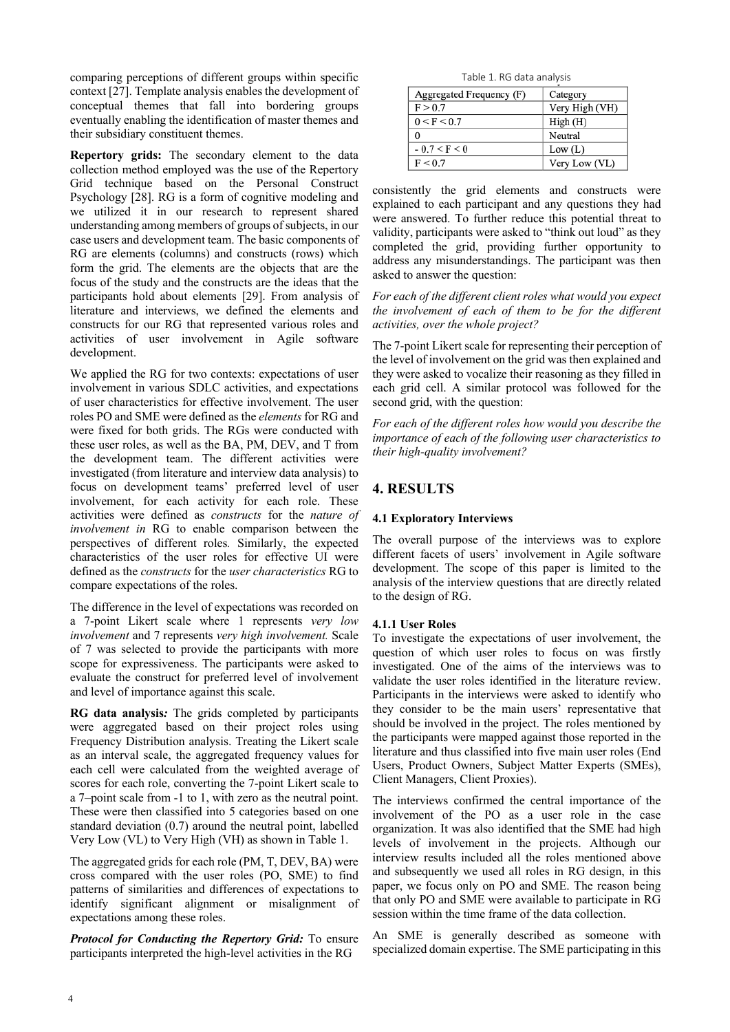comparing perceptions of different groups within specific context [27]. Template analysis enables the development of conceptual themes that fall into bordering groups eventually enabling the identification of master themes and their subsidiary constituent themes.

**Repertory grids:** The secondary element to the data collection method employed was the use of the Repertory Grid technique based on the Personal Construct Psychology [28]. RG is a form of cognitive modeling and we utilized it in our research to represent shared understanding among members of groups of subjects, in our case users and development team. The basic components of RG are elements (columns) and constructs (rows) which form the grid. The elements are the objects that are the focus of the study and the constructs are the ideas that the participants hold about elements [29]. From analysis of literature and interviews, we defined the elements and constructs for our RG that represented various roles and activities of user involvement in Agile software development.

We applied the RG for two contexts: expectations of user involvement in various SDLC activities, and expectations of user characteristics for effective involvement. The user roles PO and SME were defined as the *elements* for RG and were fixed for both grids. The RGs were conducted with these user roles, as well as the BA, PM, DEV, and T from the development team. The different activities were investigated (from literature and interview data analysis) to focus on development teams' preferred level of user involvement, for each activity for each role. These activities were defined as *constructs* for the *nature of involvement in* RG to enable comparison between the perspectives of different roles*.* Similarly, the expected characteristics of the user roles for effective UI were defined as the *constructs* for the *user characteristics* RG to compare expectations of the roles.

The difference in the level of expectations was recorded on a 7-point Likert scale where 1 represents *very low involvement* and 7 represents *very high involvement.* Scale of 7 was selected to provide the participants with more scope for expressiveness. The participants were asked to evaluate the construct for preferred level of involvement and level of importance against this scale.

**RG data analysis***:* The grids completed by participants were aggregated based on their project roles using Frequency Distribution analysis. Treating the Likert scale as an interval scale, the aggregated frequency values for each cell were calculated from the weighted average of scores for each role, converting the 7-point Likert scale to a 7–point scale from -1 to 1, with zero as the neutral point. These were then classified into 5 categories based on one standard deviation (0.7) around the neutral point, labelled Very Low (VL) to Very High (VH) as shown in Table 1.

The aggregated grids for each role (PM, T, DEV, BA) were cross compared with the user roles (PO, SME) to find patterns of similarities and differences of expectations to identify significant alignment or misalignment of expectations among these roles.

*Protocol for Conducting the Repertory Grid:* To ensure participants interpreted the high-level activities in the RG

Table 1. RG data analysis

| Aggregated Frequency (F) | Category       |
|--------------------------|----------------|
| F > 0.7                  | Very High (VH) |
| 0 < F < 0.7              | High (H)       |
| 0                        | Neutral        |
| $-0.7 < F < 0$           | Low (L)        |
| F < 0.7                  | Very Low (VL)  |

consistently the grid elements and constructs were explained to each participant and any questions they had were answered. To further reduce this potential threat to validity, participants were asked to "think out loud" as they completed the grid, providing further opportunity to address any misunderstandings. The participant was then asked to answer the question:

*For each of the different client roles what would you expect the involvement of each of them to be for the different activities, over the whole project?* 

The 7-point Likert scale for representing their perception of the level of involvement on the grid was then explained and they were asked to vocalize their reasoning as they filled in each grid cell. A similar protocol was followed for the second grid, with the question:

*For each of the different roles how would you describe the importance of each of the following user characteristics to their high-quality involvement?* 

# **4. RESULTS**

# **4.1 Exploratory Interviews**

The overall purpose of the interviews was to explore different facets of users' involvement in Agile software development. The scope of this paper is limited to the analysis of the interview questions that are directly related to the design of RG.

# **4.1.1 User Roles**

To investigate the expectations of user involvement, the question of which user roles to focus on was firstly investigated. One of the aims of the interviews was to validate the user roles identified in the literature review. Participants in the interviews were asked to identify who they consider to be the main users' representative that should be involved in the project. The roles mentioned by the participants were mapped against those reported in the literature and thus classified into five main user roles (End Users, Product Owners, Subject Matter Experts (SMEs), Client Managers, Client Proxies).

The interviews confirmed the central importance of the involvement of the PO as a user role in the case organization. It was also identified that the SME had high levels of involvement in the projects. Although our interview results included all the roles mentioned above and subsequently we used all roles in RG design, in this paper, we focus only on PO and SME. The reason being that only PO and SME were available to participate in RG session within the time frame of the data collection.

An SME is generally described as someone with specialized domain expertise. The SME participating in this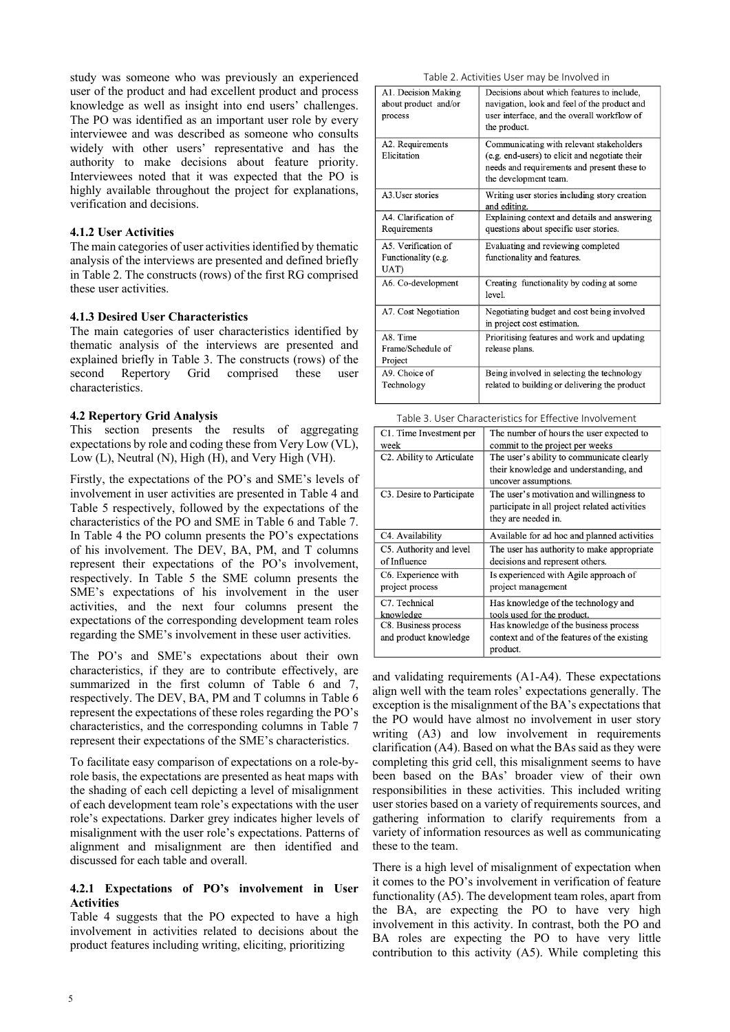study was someone who was previously an experienced user of the product and had excellent product and process knowledge as well as insight into end users' challenges. The PO was identified as an important user role by every interviewee and was described as someone who consults widely with other users' representative and has the authority to make decisions about feature priority. Interviewees noted that it was expected that the PO is highly available throughout the project for explanations, verification and decisions.

### **4.1.2 User Activities**

The main categories of user activities identified by thematic analysis of the interviews are presented and defined briefly in Table 2. The constructs (rows) of the first RG comprised these user activities.

### **4.1.3 Desired User Characteristics**

The main categories of user characteristics identified by thematic analysis of the interviews are presented and explained briefly in Table 3. The constructs (rows) of the second Repertory Grid comprised these user characteristics.

# **4.2 Repertory Grid Analysis**

This section presents the results of aggregating expectations by role and coding these from Very Low (VL), Low (L), Neutral (N), High (H), and Very High (VH).

Firstly, the expectations of the PO's and SME's levels of involvement in user activities are presented in Table 4 and Table 5 respectively, followed by the expectations of the characteristics of the PO and SME in Table 6 and Table 7. In Table 4 the PO column presents the PO's expectations of his involvement. The DEV, BA, PM, and T columns represent their expectations of the PO's involvement, respectively. In Table 5 the SME column presents the SME's expectations of his involvement in the user activities, and the next four columns present the expectations of the corresponding development team roles regarding the SME's involvement in these user activities.

The PO's and SME's expectations about their own characteristics, if they are to contribute effectively, are summarized in the first column of Table 6 and 7, respectively. The DEV, BA, PM and T columns in Table 6 represent the expectations of these roles regarding the PO's characteristics, and the corresponding columns in Table 7 represent their expectations of the SME's characteristics.

To facilitate easy comparison of expectations on a role-byrole basis, the expectations are presented as heat maps with the shading of each cell depicting a level of misalignment of each development team role's expectations with the user role's expectations. Darker grey indicates higher levels of misalignment with the user role's expectations. Patterns of alignment and misalignment are then identified and discussed for each table and overall.

### **4.2.1 Expectations of PO's involvement in User Activities**

Table 4 suggests that the PO expected to have a high involvement in activities related to decisions about the product features including writing, eliciting, prioritizing

| Table 2. Activities User may be Involved in |  |  |  |
|---------------------------------------------|--|--|--|
|---------------------------------------------|--|--|--|

| A1. Decision Making<br>about product and/or<br>process | Decisions about which features to include,<br>navigation, look and feel of the product and<br>user interface, and the overall workflow of<br>the product.          |
|--------------------------------------------------------|--------------------------------------------------------------------------------------------------------------------------------------------------------------------|
| A2. Requirements<br>Elicitation                        | Communicating with relevant stakeholders<br>(e.g. end-users) to elicit and negotiate their<br>needs and requirements and present these to<br>the development team. |
| A3.User stories                                        | Writing user stories including story creation<br>and editing.                                                                                                      |
| A4. Clarification of<br>Requirements                   | Explaining context and details and answering<br>questions about specific user stories.                                                                             |
| A5. Verification of<br>Functionality (e.g.<br>UAT)     | Evaluating and reviewing completed<br>functionality and features.                                                                                                  |
| A6. Co-development                                     | Creating functionality by coding at some<br>level.                                                                                                                 |
| A7. Cost Negotiation                                   | Negotiating budget and cost being involved<br>in project cost estimation.                                                                                          |
| A8. Time<br>Frame/Schedule of<br>Project               | Prioritising features and work and updating<br>release plans.                                                                                                      |
| A9. Choice of<br>Technology                            | Being involved in selecting the technology<br>related to building or delivering the product                                                                        |

| Table 3. User Characteristics for Effective Involvement |
|---------------------------------------------------------|
|                                                         |

| C1. Time Investment per                | The number of hours the user expected to      |
|----------------------------------------|-----------------------------------------------|
| week                                   | commit to the project per weeks               |
| C <sub>2</sub> . Ability to Articulate | The user's ability to communicate clearly     |
|                                        | their knowledge and understanding, and        |
|                                        | uncover assumptions.                          |
| C <sub>3</sub> . Desire to Participate | The user's motivation and willingness to      |
|                                        | participate in all project related activities |
|                                        | they are needed in.                           |
| C4. Availability                       | Available for ad hoc and planned activities   |
| C5. Authority and level                | The user has authority to make appropriate    |
| of Influence                           | decisions and represent others.               |
| C6. Experience with                    | Is experienced with Agile approach of         |
| project process                        | project management                            |
| C7. Technical                          | Has knowledge of the technology and           |
| knowledge                              | tools used for the product.                   |
| C8. Business process                   | Has knowledge of the business process         |
| and product knowledge                  | context and of the features of the existing   |
|                                        | product.                                      |

and validating requirements (A1-A4). These expectations align well with the team roles' expectations generally. The exception is the misalignment of the BA's expectations that the PO would have almost no involvement in user story writing (A3) and low involvement in requirements clarification (A4). Based on what the BAs said as they were completing this grid cell, this misalignment seems to have been based on the BAs' broader view of their own responsibilities in these activities. This included writing user stories based on a variety of requirements sources, and gathering information to clarify requirements from a variety of information resources as well as communicating these to the team.

There is a high level of misalignment of expectation when it comes to the PO's involvement in verification of feature functionality (A5). The development team roles, apart from the BA, are expecting the PO to have very high involvement in this activity. In contrast, both the PO and BA roles are expecting the PO to have very little contribution to this activity (A5). While completing this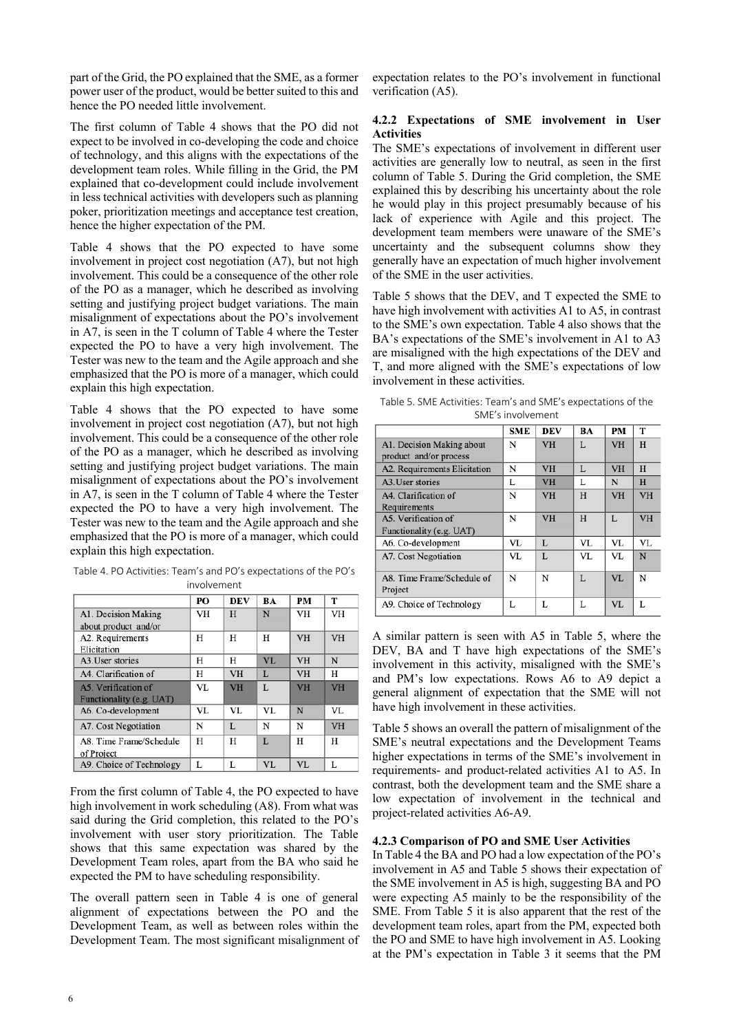part of the Grid, the PO explained that the SME, as a former power user of the product, would be better suited to this and hence the PO needed little involvement.

The first column of Table 4 shows that the PO did not expect to be involved in co-developing the code and choice of technology, and this aligns with the expectations of the development team roles. While filling in the Grid, the PM explained that co-development could include involvement in less technical activities with developers such as planning poker, prioritization meetings and acceptance test creation, hence the higher expectation of the PM.

Table 4 shows that the PO expected to have some involvement in project cost negotiation (A7), but not high involvement. This could be a consequence of the other role of the PO as a manager, which he described as involving setting and justifying project budget variations. The main misalignment of expectations about the PO's involvement in A7, is seen in the T column of Table 4 where the Tester expected the PO to have a very high involvement. The Tester was new to the team and the Agile approach and she emphasized that the PO is more of a manager, which could explain this high expectation.

Table 4 shows that the PO expected to have some involvement in project cost negotiation (A7), but not high involvement. This could be a consequence of the other role of the PO as a manager, which he described as involving setting and justifying project budget variations. The main misalignment of expectations about the PO's involvement in A7, is seen in the T column of Table 4 where the Tester expected the PO to have a very high involvement. The Tester was new to the team and the Agile approach and she emphasized that the PO is more of a manager, which could explain this high expectation.

| $p_0$ $p_1$ $p_2$ $p_3$ $p_4$ $p_5$ $p_6$ $p_7$                  |  |  |  |  |  |  |  |
|------------------------------------------------------------------|--|--|--|--|--|--|--|
| involvement                                                      |  |  |  |  |  |  |  |
| Table 4. PO Activities: Team's and PO's expectations of the PO's |  |  |  |  |  |  |  |

|                          | PО  | <b>DEV</b> | BA | PМ        | т         |
|--------------------------|-----|------------|----|-----------|-----------|
| A1. Decision Making      | VH  | H          | N  | VH        | VH        |
| about product and/or     |     |            |    |           |           |
| A2. Requirements         | Н   | Н          | н  | <b>VH</b> | <b>VH</b> |
| Elicitation              |     |            |    |           |           |
| A3. User stories         | H   | Н          | VL | <b>VH</b> | N         |
| A4. Clarification of     | Н   | <b>VH</b>  | L  | <b>VH</b> | Н         |
| A5. Verification of      | VL. | VH         | L  | VH        | VH        |
| Functionality (e.g. UAT) |     |            |    |           |           |
| A6. Co-development       | VL  | VL         | VL | N         | VL        |
| A7. Cost Negotiation     | N   | L          | N  | N         | VH        |
| A8. Time Frame/Schedule  | Н   | Н          | L  | н         | Н         |
| of Project               |     |            |    |           |           |
| A9. Choice of Technology | L   | L          | VL | VL        | L         |

From the first column of Table 4, the PO expected to have high involvement in work scheduling (A8). From what was said during the Grid completion, this related to the PO's involvement with user story prioritization. The Table shows that this same expectation was shared by the Development Team roles, apart from the BA who said he expected the PM to have scheduling responsibility.

The overall pattern seen in Table 4 is one of general alignment of expectations between the PO and the Development Team, as well as between roles within the Development Team. The most significant misalignment of expectation relates to the PO's involvement in functional verification (A5).

# **4.2.2 Expectations of SME involvement in User Activities**

The SME's expectations of involvement in different user activities are generally low to neutral, as seen in the first column of Table 5. During the Grid completion, the SME explained this by describing his uncertainty about the role he would play in this project presumably because of his lack of experience with Agile and this project. The development team members were unaware of the SME's uncertainty and the subsequent columns show they generally have an expectation of much higher involvement of the SME in the user activities.

Table 5 shows that the DEV, and T expected the SME to have high involvement with activities A1 to A5, in contrast to the SME's own expectation. Table 4 also shows that the BA's expectations of the SME's involvement in A1 to A3 are misaligned with the high expectations of the DEV and T, and more aligned with the SME's expectations of low involvement in these activities.

Table 5. SME Activities: Team's and SME's expectations of the SME's involvement

|                                                     | <b>SME</b> | <b>DEV</b> | BA  | PM        | т         |
|-----------------------------------------------------|------------|------------|-----|-----------|-----------|
| A1. Decision Making about<br>product and/or process | N          | <b>VH</b>  | L   | <b>VH</b> | H         |
| A2. Requirements Elicitation                        | N          | VH         | L   | <b>VH</b> | H         |
| A3. User stories                                    | L          | <b>VH</b>  | L   | N         | H         |
| A4. Clarification of<br>Requirements                | N          | <b>VH</b>  | H   | <b>VH</b> | <b>VH</b> |
| A5. Verification of<br>Functionality (e.g. UAT)     | N          | VH         | H   | L         | <b>VH</b> |
| A6. Co-development                                  | VL         | L          | VL. | VL        | VL        |
| A7. Cost Negotiation                                | VL         | L          | VL  | VL        | N         |
| A8. Time Frame/Schedule of<br>Project               | N          | N          | L   | VI.       | N         |
| A9. Choice of Technology                            | L          |            | Ī.  | VL        | L         |

A similar pattern is seen with A5 in Table 5, where the DEV, BA and T have high expectations of the SME's involvement in this activity, misaligned with the SME's and PM's low expectations. Rows A6 to A9 depict a general alignment of expectation that the SME will not have high involvement in these activities.

Table 5 shows an overall the pattern of misalignment of the SME's neutral expectations and the Development Teams higher expectations in terms of the SME's involvement in requirements- and product-related activities A1 to A5. In contrast, both the development team and the SME share a low expectation of involvement in the technical and project-related activities A6-A9.

# **4.2.3 Comparison of PO and SME User Activities**

In Table 4 the BA and PO had a low expectation of the PO's involvement in A5 and Table 5 shows their expectation of the SME involvement in A5 is high, suggesting BA and PO were expecting A5 mainly to be the responsibility of the SME. From Table 5 it is also apparent that the rest of the development team roles, apart from the PM, expected both the PO and SME to have high involvement in A5. Looking at the PM's expectation in Table 3 it seems that the PM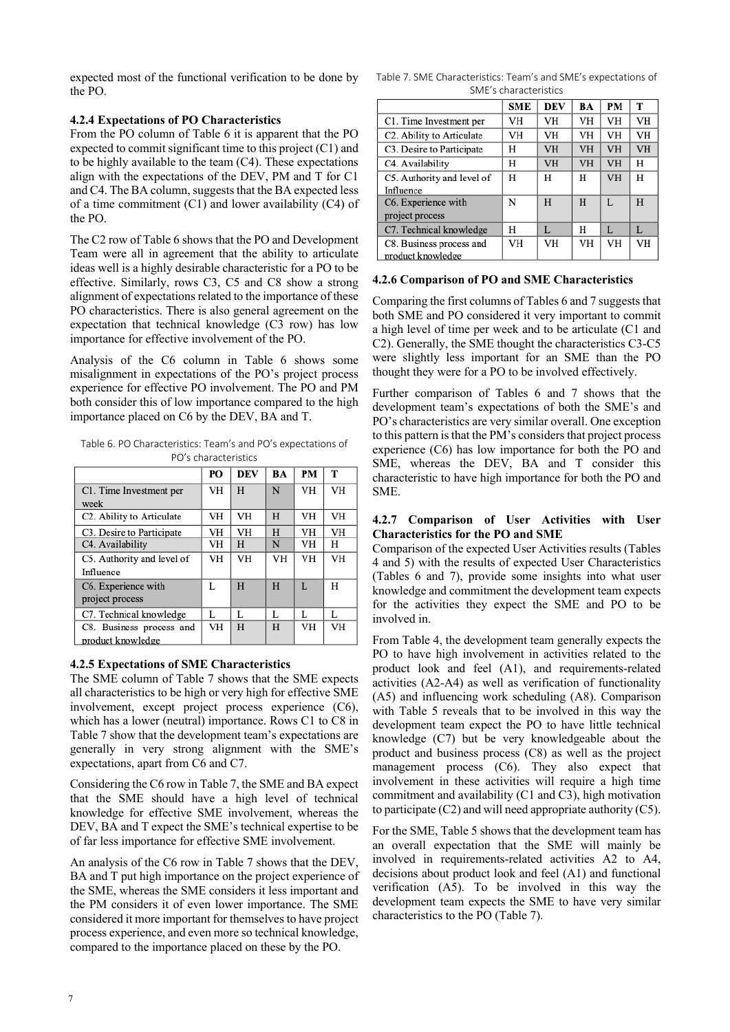expected most of the functional verification to be done by the PO.

### **4.2.4 Expectations of PO Characteristics**

From the PO column of Table 6 it is apparent that the PO expected to commit significant time to this project (C1) and to be highly available to the team (C4). These expectations align with the expectations of the DEV, PM and T for C1 and C4. The BA column, suggests that the BA expected less of a time commitment (C1) and lower availability (C4) of the PO.

The C2 row of Table 6 shows that the PO and Development Team were all in agreement that the ability to articulate ideas well is a highly desirable characteristic for a PO to be effective. Similarly, rows C3, C5 and C8 show a strong alignment of expectations related to the importance of these PO characteristics. There is also general agreement on the expectation that technical knowledge (C3 row) has low importance for effective involvement of the PO.

Analysis of the C6 column in Table 6 shows some misalignment in expectations of the PO's project process experience for effective PO involvement. The PO and PM both consider this of low importance compared to the high importance placed on C6 by the DEV, BA and T.

Table 6. PO Characteristics: Team's and PO's expectations of PO's characteristics

|                                        | PO | DEV | BA | PM | т  |
|----------------------------------------|----|-----|----|----|----|
| C1. Time Investment per                | VH | H   | N  | VH | VH |
| week                                   |    |     |    |    |    |
| C2. Ability to Articulate              | VH | VH  | H  | VH | VH |
| C <sub>3</sub> . Desire to Participate | VH | VH  | H  | VH | VH |
| C4. Availability                       | VH | H   | N  | VH | н  |
| C5. Authority and level of             | VH | VH  | VH | VH | VH |
| Influence                              |    |     |    |    |    |
| C6. Experience with                    | L  | H   | H  | L  | н  |
| project process                        |    |     |    |    |    |
| C7. Technical knowledge                | L  | L   | L  | L  | Ī. |
| C8. Business process and               | VH | H   | H  | VH | VH |
| product knowledge                      |    |     |    |    |    |

# **4.2.5 Expectations of SME Characteristics**

The SME column of Table 7 shows that the SME expects all characteristics to be high or very high for effective SME involvement, except project process experience (C6), which has a lower (neutral) importance. Rows C1 to C8 in Table 7 show that the development team's expectations are generally in very strong alignment with the SME's expectations, apart from C6 and C7.

Considering the C6 row in Table 7, the SME and BA expect that the SME should have a high level of technical knowledge for effective SME involvement, whereas the DEV, BA and T expect the SME's technical expertise to be of far less importance for effective SME involvement.

An analysis of the C6 row in Table 7 shows that the DEV, BA and T put high importance on the project experience of the SME, whereas the SME considers it less important and the PM considers it of even lower importance. The SME considered it more important for themselves to have project process experience, and even more so technical knowledge, compared to the importance placed on these by the PO.

Table 7. SME Characteristics: Team's and SME's expectations of SME's characteristics

|                            | <b>SME</b> | <b>DEV</b> | BA        | PM | т  |
|----------------------------|------------|------------|-----------|----|----|
| C1. Time Investment per    | VH         | VH         | <b>VH</b> | VH | VH |
| C2. Ability to Articulate  | VH         | VH         | VH        | VH | VH |
| C3. Desire to Participate  | Н          | <b>VH</b>  | VH        | VH | VH |
| C4. Availability           | н          | VH         | VH        | VH | Н  |
| C5. Authority and level of | Н          | Н          | Н         | VH | H  |
| Influence                  |            |            |           |    |    |
| C6. Experience with        | N          | H          | H         | L  | H  |
| project process            |            |            |           |    |    |
| C7. Technical knowledge    | н          | L          | н         | L  | L  |
| C8. Business process and   | VH         | <b>VH</b>  | VH        | VH | VH |
| product knowledge          |            |            |           |    |    |

### **4.2.6 Comparison of PO and SME Characteristics**

Comparing the first columns of Tables 6 and 7 suggests that both SME and PO considered it very important to commit a high level of time per week and to be articulate (C1 and C2). Generally, the SME thought the characteristics C3-C5 were slightly less important for an SME than the PO thought they were for a PO to be involved effectively.

Further comparison of Tables 6 and 7 shows that the development team's expectations of both the SME's and PO's characteristics are very similar overall. One exception to this pattern is that the PM's considers that project process experience (C6) has low importance for both the PO and SME, whereas the DEV, BA and T consider this characteristic to have high importance for both the PO and SME.

# **4.2.7 Comparison of User Activities with User Characteristics for the PO and SME**

Comparison of the expected User Activities results (Tables 4 and 5) with the results of expected User Characteristics (Tables 6 and 7), provide some insights into what user knowledge and commitment the development team expects for the activities they expect the SME and PO to be involved in.

From Table 4, the development team generally expects the PO to have high involvement in activities related to the product look and feel (A1), and requirements-related activities (A2-A4) as well as verification of functionality (A5) and influencing work scheduling (A8). Comparison with Table 5 reveals that to be involved in this way the development team expect the PO to have little technical knowledge (C7) but be very knowledgeable about the product and business process (C8) as well as the project management process (C6). They also expect that involvement in these activities will require a high time commitment and availability (C1 and C3), high motivation to participate (C2) and will need appropriate authority (C5).

For the SME, Table 5 shows that the development team has an overall expectation that the SME will mainly be involved in requirements-related activities A2 to A4, decisions about product look and feel (A1) and functional verification (A5). To be involved in this way the development team expects the SME to have very similar characteristics to the PO (Table 7).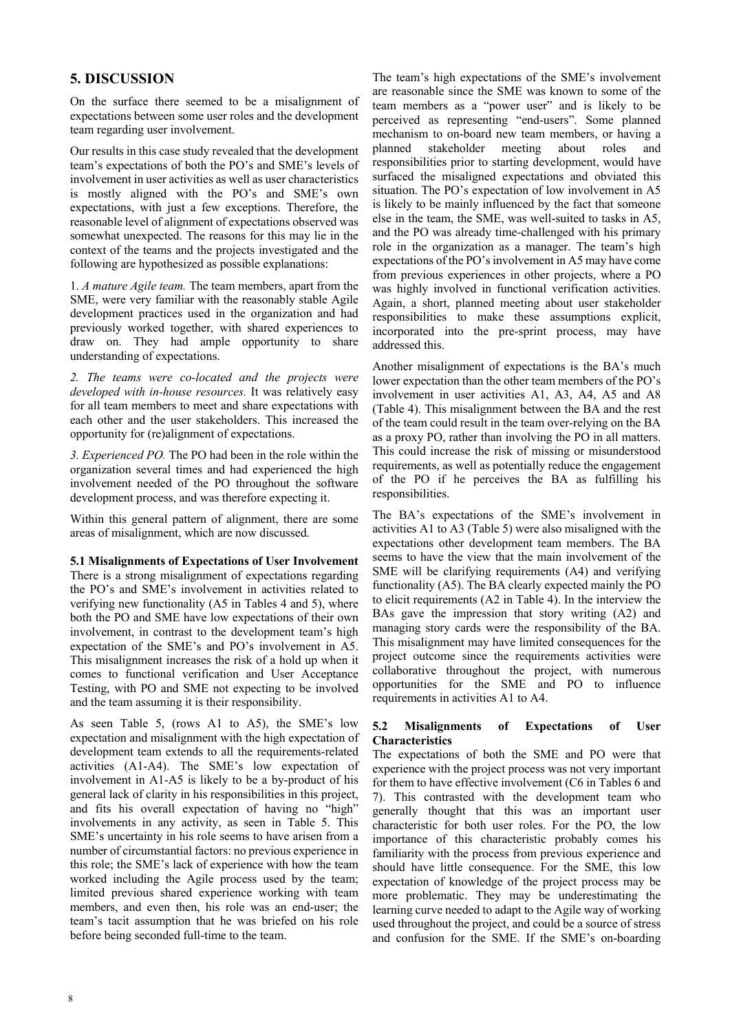# **5. DISCUSSION**

On the surface there seemed to be a misalignment of expectations between some user roles and the development team regarding user involvement.

Our results in this case study revealed that the development team's expectations of both the PO's and SME's levels of involvement in user activities as well as user characteristics is mostly aligned with the PO's and SME's own expectations, with just a few exceptions. Therefore, the reasonable level of alignment of expectations observed was somewhat unexpected. The reasons for this may lie in the context of the teams and the projects investigated and the following are hypothesized as possible explanations:

1. *A mature Agile team.* The team members, apart from the SME, were very familiar with the reasonably stable Agile development practices used in the organization and had previously worked together, with shared experiences to draw on. They had ample opportunity to share understanding of expectations.

*2. The teams were co-located and the projects were developed with in-house resources.* It was relatively easy for all team members to meet and share expectations with each other and the user stakeholders. This increased the opportunity for (re)alignment of expectations.

*3. Experienced PO.* The PO had been in the role within the organization several times and had experienced the high involvement needed of the PO throughout the software development process, and was therefore expecting it.

Within this general pattern of alignment, there are some areas of misalignment, which are now discussed.

**5.1 Misalignments of Expectations of User Involvement**  There is a strong misalignment of expectations regarding the PO's and SME's involvement in activities related to verifying new functionality (A5 in Tables 4 and 5), where both the PO and SME have low expectations of their own involvement, in contrast to the development team's high expectation of the SME's and PO's involvement in A5. This misalignment increases the risk of a hold up when it comes to functional verification and User Acceptance Testing, with PO and SME not expecting to be involved and the team assuming it is their responsibility.

As seen Table 5, (rows A1 to A5), the SME's low expectation and misalignment with the high expectation of development team extends to all the requirements-related activities (A1-A4). The SME's low expectation of involvement in A1-A5 is likely to be a by-product of his general lack of clarity in his responsibilities in this project, and fits his overall expectation of having no "high" involvements in any activity, as seen in Table 5. This SME's uncertainty in his role seems to have arisen from a number of circumstantial factors: no previous experience in this role; the SME's lack of experience with how the team worked including the Agile process used by the team; limited previous shared experience working with team members, and even then, his role was an end-user; the team's tacit assumption that he was briefed on his role before being seconded full-time to the team.

The team's high expectations of the SME's involvement are reasonable since the SME was known to some of the team members as a "power user" and is likely to be perceived as representing "end-users". Some planned mechanism to on-board new team members, or having a planned stakeholder meeting about roles and responsibilities prior to starting development, would have surfaced the misaligned expectations and obviated this situation. The PO's expectation of low involvement in A5 is likely to be mainly influenced by the fact that someone else in the team, the SME, was well-suited to tasks in A5, and the PO was already time-challenged with his primary role in the organization as a manager. The team's high expectations of the PO's involvement in A5 may have come from previous experiences in other projects, where a PO was highly involved in functional verification activities. Again, a short, planned meeting about user stakeholder responsibilities to make these assumptions explicit, incorporated into the pre-sprint process, may have addressed this.

Another misalignment of expectations is the BA's much lower expectation than the other team members of the PO's involvement in user activities A1, A3, A4, A5 and A8 (Table 4). This misalignment between the BA and the rest of the team could result in the team over-relying on the BA as a proxy PO, rather than involving the PO in all matters. This could increase the risk of missing or misunderstood requirements, as well as potentially reduce the engagement of the PO if he perceives the BA as fulfilling his responsibilities.

The BA's expectations of the SME's involvement in activities A1 to A3 (Table 5) were also misaligned with the expectations other development team members. The BA seems to have the view that the main involvement of the SME will be clarifying requirements (A4) and verifying functionality (A5). The BA clearly expected mainly the PO to elicit requirements (A2 in Table 4). In the interview the BAs gave the impression that story writing (A2) and managing story cards were the responsibility of the BA. This misalignment may have limited consequences for the project outcome since the requirements activities were collaborative throughout the project, with numerous opportunities for the SME and PO to influence requirements in activities A1 to A4.

# **5.2 Misalignments of Expectations of User Characteristics**

The expectations of both the SME and PO were that experience with the project process was not very important for them to have effective involvement (C6 in Tables 6 and 7). This contrasted with the development team who generally thought that this was an important user characteristic for both user roles. For the PO, the low importance of this characteristic probably comes his familiarity with the process from previous experience and should have little consequence. For the SME, this low expectation of knowledge of the project process may be more problematic. They may be underestimating the learning curve needed to adapt to the Agile way of working used throughout the project, and could be a source of stress and confusion for the SME. If the SME's on-boarding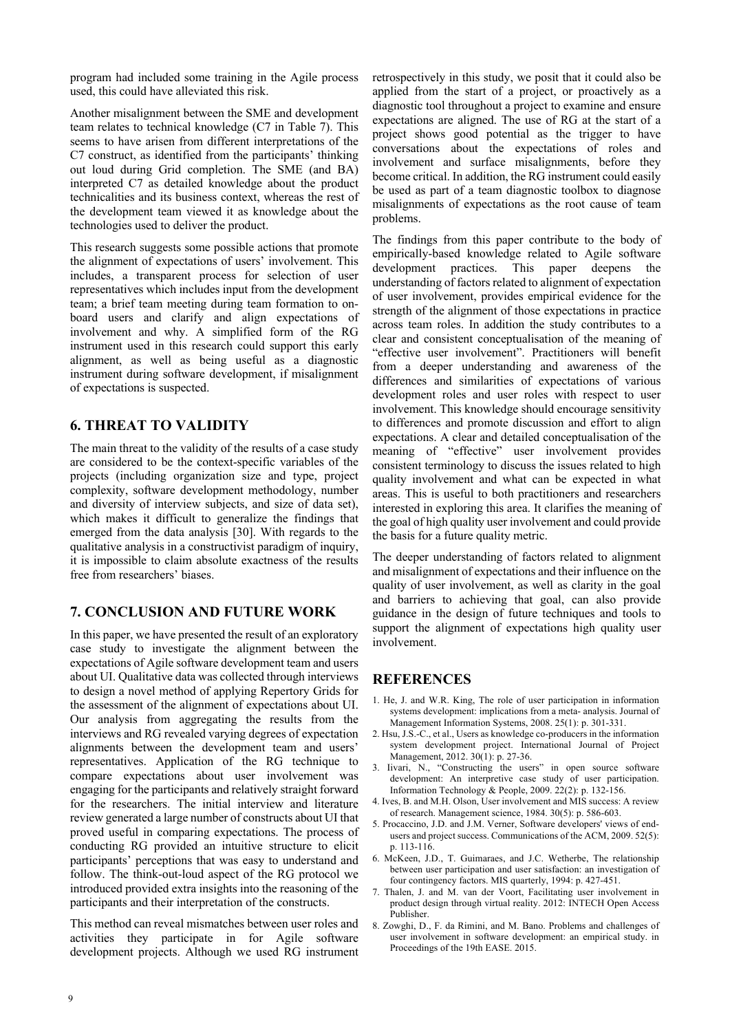program had included some training in the Agile process used, this could have alleviated this risk.

Another misalignment between the SME and development team relates to technical knowledge (C7 in Table 7). This seems to have arisen from different interpretations of the C7 construct, as identified from the participants' thinking out loud during Grid completion. The SME (and BA) interpreted C7 as detailed knowledge about the product technicalities and its business context, whereas the rest of the development team viewed it as knowledge about the technologies used to deliver the product.

This research suggests some possible actions that promote the alignment of expectations of users' involvement. This includes, a transparent process for selection of user representatives which includes input from the development team; a brief team meeting during team formation to onboard users and clarify and align expectations of involvement and why. A simplified form of the RG instrument used in this research could support this early alignment, as well as being useful as a diagnostic instrument during software development, if misalignment of expectations is suspected.

# **6. THREAT TO VALIDITY**

The main threat to the validity of the results of a case study are considered to be the context-specific variables of the projects (including organization size and type, project complexity, software development methodology, number and diversity of interview subjects, and size of data set), which makes it difficult to generalize the findings that emerged from the data analysis [30]. With regards to the qualitative analysis in a constructivist paradigm of inquiry, it is impossible to claim absolute exactness of the results free from researchers' biases.

# **7. CONCLUSION AND FUTURE WORK**

In this paper, we have presented the result of an exploratory case study to investigate the alignment between the expectations of Agile software development team and users about UI. Qualitative data was collected through interviews to design a novel method of applying Repertory Grids for the assessment of the alignment of expectations about UI. Our analysis from aggregating the results from the interviews and RG revealed varying degrees of expectation alignments between the development team and users' representatives. Application of the RG technique to compare expectations about user involvement was engaging for the participants and relatively straight forward for the researchers. The initial interview and literature review generated a large number of constructs about UI that proved useful in comparing expectations. The process of conducting RG provided an intuitive structure to elicit participants' perceptions that was easy to understand and follow. The think-out-loud aspect of the RG protocol we introduced provided extra insights into the reasoning of the participants and their interpretation of the constructs.

This method can reveal mismatches between user roles and activities they participate in for Agile software development projects. Although we used RG instrument

retrospectively in this study, we posit that it could also be applied from the start of a project, or proactively as a diagnostic tool throughout a project to examine and ensure expectations are aligned. The use of RG at the start of a project shows good potential as the trigger to have conversations about the expectations of roles and involvement and surface misalignments, before they become critical. In addition, the RG instrument could easily be used as part of a team diagnostic toolbox to diagnose misalignments of expectations as the root cause of team problems.

The findings from this paper contribute to the body of empirically-based knowledge related to Agile software development practices. This paper deepens the understanding of factors related to alignment of expectation of user involvement, provides empirical evidence for the strength of the alignment of those expectations in practice across team roles. In addition the study contributes to a clear and consistent conceptualisation of the meaning of "effective user involvement". Practitioners will benefit from a deeper understanding and awareness of the differences and similarities of expectations of various development roles and user roles with respect to user involvement. This knowledge should encourage sensitivity to differences and promote discussion and effort to align expectations. A clear and detailed conceptualisation of the meaning of "effective" user involvement provides consistent terminology to discuss the issues related to high quality involvement and what can be expected in what areas. This is useful to both practitioners and researchers interested in exploring this area. It clarifies the meaning of the goal of high quality user involvement and could provide the basis for a future quality metric.

The deeper understanding of factors related to alignment and misalignment of expectations and their influence on the quality of user involvement, as well as clarity in the goal and barriers to achieving that goal, can also provide guidance in the design of future techniques and tools to support the alignment of expectations high quality user involvement.

# **REFERENCES**

- 1. He, J. and W.R. King, The role of user participation in information systems development: implications from a meta- analysis. Journal of Management Information Systems, 2008. 25(1): p. 301-331.
- 2. Hsu, J.S.-C., et al., Users as knowledge co-producers in the information system development project. International Journal of Project Management, 2012. 30(1): p. 27-36.
- 3. Iivari, N., "Constructing the users" in open source software development: An interpretive case study of user participation. Information Technology & People, 2009. 22(2): p. 132-156.
- 4. Ives, B. and M.H. Olson, User involvement and MIS success: A review of research. Management science, 1984. 30(5): p. 586-603.
- 5. Procaccino, J.D. and J.M. Verner, Software developers' views of endusers and project success. Communications of the ACM, 2009. 52(5): p. 113-116.
- 6. McKeen, J.D., T. Guimaraes, and J.C. Wetherbe, The relationship between user participation and user satisfaction: an investigation of four contingency factors. MIS quarterly, 1994: p. 427-451.
- 7. Thalen, J. and M. van der Voort, Facilitating user involvement in product design through virtual reality. 2012: INTECH Open Access Publisher.
- 8. Zowghi, D., F. da Rimini, and M. Bano. Problems and challenges of user involvement in software development: an empirical study. in Proceedings of the 19th EASE. 2015.